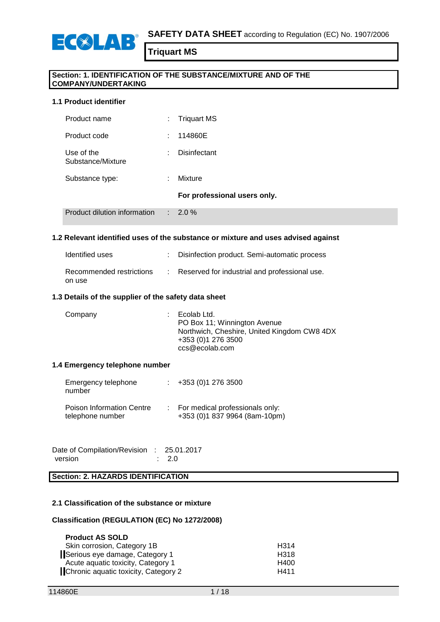

# **Section: 1. IDENTIFICATION OF THE SUBSTANCE/MIXTURE AND OF THE COMPANY/UNDERTAKING**

## **1.1 Product identifier**

| Product name                    | t.             | <b>Triquart MS</b>           |
|---------------------------------|----------------|------------------------------|
| Product code                    | × 1            | 114860E                      |
| Use of the<br>Substance/Mixture | ÷.             | Disinfectant                 |
| Substance type:                 |                | Mixture                      |
|                                 |                | For professional users only. |
| Product dilution information    | $\mathbb{R}^n$ | $2.0\%$                      |

## **1.2 Relevant identified uses of the substance or mixture and uses advised against**

| Identified uses                    | : Disinfection product. Semi-automatic process  |
|------------------------------------|-------------------------------------------------|
| Recommended restrictions<br>on use | : Reserved for industrial and professional use. |

## **1.3 Details of the supplier of the safety data sheet**

| Company | $\therefore$ Ecolab Ltd.<br>PO Box 11; Winnington Avenue<br>Northwich, Cheshire, United Kingdom CW8 4DX<br>+353 (0) 1 276 3500<br>ccs@ecolab.com |
|---------|--------------------------------------------------------------------------------------------------------------------------------------------------|
|         |                                                                                                                                                  |

#### **1.4 Emergency telephone number**

| Emergency telephone<br>number                        | $\div$ +353 (0)1 276 3500                                        |
|------------------------------------------------------|------------------------------------------------------------------|
| <b>Poison Information Centre</b><br>telephone number | For medical professionals only:<br>+353 (0)1 837 9964 (8am-10pm) |

Date of Compilation/Revision : 25.01.2017 version : 2.0

# **Section: 2. HAZARDS IDENTIFICATION**

## **2.1 Classification of the substance or mixture**

#### **Classification (REGULATION (EC) No 1272/2008)**

| <b>Product AS SOLD</b>               |      |
|--------------------------------------|------|
| Skin corrosion, Category 1B          | H314 |
| Serious eye damage, Category 1       | H318 |
| Acute aguatic toxicity, Category 1   | H400 |
| Chronic aquatic toxicity, Category 2 | H411 |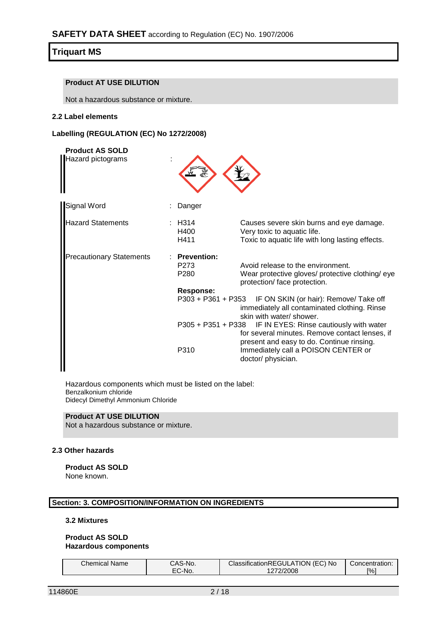## **Product AT USE DILUTION**

Not a hazardous substance or mixture.

## **2.2 Label elements**

# **Labelling (REGULATION (EC) No 1272/2008)**

| <b>Product AS SOLD</b><br>Hazard pictograms |                                                                                                                                                                                     |  |
|---------------------------------------------|-------------------------------------------------------------------------------------------------------------------------------------------------------------------------------------|--|
| Signal Word                                 | Danger                                                                                                                                                                              |  |
| Hazard Statements                           | : H314<br>Causes severe skin burns and eye damage.<br>Very toxic to aquatic life.<br>H400<br>Toxic to aquatic life with long lasting effects.<br>H411                               |  |
| <b>Precautionary Statements</b>             | <b>Prevention:</b><br>P <sub>273</sub><br>Avoid release to the environment.<br>P <sub>280</sub><br>Wear protective gloves/ protective clothing/ eye<br>protection/ face protection. |  |
|                                             | <b>Response:</b><br>P303 + P361 + P353 IF ON SKIN (or hair): Remove/ Take off<br>immediately all contaminated clothing. Rinse<br>skin with water/ shower.                           |  |
|                                             | P305 + P351 + P338 IF IN EYES: Rinse cautiously with water<br>for several minutes. Remove contact lenses, if<br>present and easy to do. Continue rinsing.                           |  |
|                                             | P310<br>Immediately call a POISON CENTER or<br>doctor/ physician.                                                                                                                   |  |

Hazardous components which must be listed on the label: Benzalkonium chloride Didecyl Dimethyl Ammonium Chloride

# **Product AT USE DILUTION**

Not a hazardous substance or mixture.

#### **2.3 Other hazards**

**Product AS SOLD** None known.

## **Section: 3. COMPOSITION/INFORMATION ON INGREDIENTS**

# **3.2 Mixtures**

## **Product AS SOLD Hazardous components**

| <b>Chemical Name</b> | CAS-No.                          | ClassificationREGULATION (EC) No | Concentration:    |
|----------------------|----------------------------------|----------------------------------|-------------------|
|                      | $\mathsf{C}\text{-}\mathsf{No}.$ | 2/2008<br>$\epsilon$             | $\frac{100}{100}$ |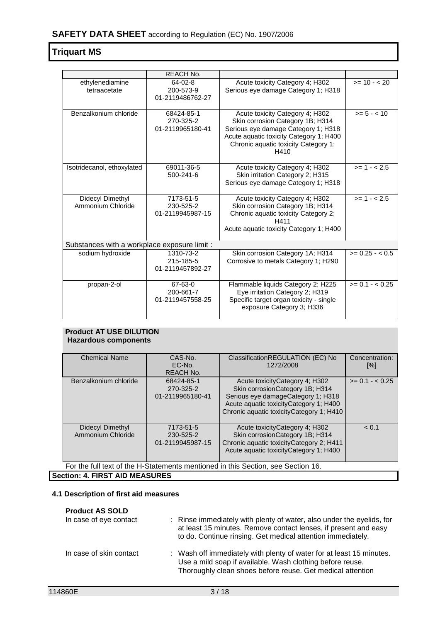|                                       | <b>REACH No.</b>                             |                                                                                                                                                                                                       |                   |  |  |
|---------------------------------------|----------------------------------------------|-------------------------------------------------------------------------------------------------------------------------------------------------------------------------------------------------------|-------------------|--|--|
| ethylenediamine<br>tetraacetate       | 64-02-8<br>200-573-9<br>01-2119486762-27     | Acute toxicity Category 4; H302<br>Serious eye damage Category 1; H318                                                                                                                                | $>= 10 - 20$      |  |  |
| Benzalkonium chloride                 | 68424-85-1<br>270-325-2<br>01-2119965180-41  | Acute toxicity Category 4; H302<br>Skin corrosion Category 1B; H314<br>Serious eye damage Category 1; H318<br>Acute aquatic toxicity Category 1; H400<br>Chronic aquatic toxicity Category 1;<br>H410 | $>= 5 - < 10$     |  |  |
| Isotridecanol, ethoxylated            | 69011-36-5<br>500-241-6                      | Acute toxicity Category 4; H302<br>Skin irritation Category 2; H315<br>Serious eye damage Category 1; H318                                                                                            | $>= 1 - 2.5$      |  |  |
| Didecyl Dimethyl<br>Ammonium Chloride | 7173-51-5<br>230-525-2<br>01-2119945987-15   | Acute toxicity Category 4; H302<br>Skin corrosion Category 1B; H314<br>Chronic aquatic toxicity Category 2;<br>H411<br>Acute aquatic toxicity Category 1; H400                                        | $>= 1 - 2.5$      |  |  |
|                                       | Substances with a workplace exposure limit : |                                                                                                                                                                                                       |                   |  |  |
| sodium hydroxide                      | 1310-73-2<br>215-185-5<br>01-2119457892-27   | Skin corrosion Category 1A; H314<br>Corrosive to metals Category 1; H290                                                                                                                              | $>= 0.25 - 0.5$   |  |  |
| propan-2-ol                           | 67-63-0<br>200-661-7<br>01-2119457558-25     | Flammable liquids Category 2; H225<br>Eye irritation Category 2; H319<br>Specific target organ toxicity - single<br>exposure Category 3; H336                                                         | $>= 0.1 - < 0.25$ |  |  |

# **Product AT USE DILUTION Hazardous components**

| <b>Chemical Name</b>                                                             | CAS-No.          | ClassificationREGULATION (EC) No          | Concentration:    |
|----------------------------------------------------------------------------------|------------------|-------------------------------------------|-------------------|
|                                                                                  | EC-No.           | 1272/2008                                 | [%]               |
|                                                                                  | <b>REACH No.</b> |                                           |                   |
| Benzalkonium chloride                                                            | 68424-85-1       | Acute toxicity Category 4; H302           | $>= 0.1 - < 0.25$ |
|                                                                                  | 270-325-2        | Skin corrosion Category 1B; H314          |                   |
|                                                                                  | 01-2119965180-41 | Serious eye damageCategory 1; H318        |                   |
|                                                                                  |                  | Acute aquatic toxicityCategory 1; H400    |                   |
|                                                                                  |                  | Chronic aquatic toxicityCategory 1; H410  |                   |
|                                                                                  |                  |                                           |                   |
| Didecyl Dimethyl                                                                 | 7173-51-5        | Acute toxicity Category 4; H302           | < 0.1             |
| Ammonium Chloride                                                                | 230-525-2        | Skin corrosionCategory 1B; H314           |                   |
|                                                                                  | 01-2119945987-15 | Chronic aquatic toxicity Category 2; H411 |                   |
|                                                                                  |                  | Acute aquatic toxicityCategory 1; H400    |                   |
|                                                                                  |                  |                                           |                   |
| For the full text of the H-Statements mentioned in this Section, see Section 16. |                  |                                           |                   |
| <b>Section: 4. FIRST AID MEASURES</b>                                            |                  |                                           |                   |

# **4.1 Description of first aid measures**

| <b>Product AS SOLD</b><br>In case of eye contact | : Rinse immediately with plenty of water, also under the eyelids, for<br>at least 15 minutes. Remove contact lenses, if present and easy<br>to do. Continue rinsing. Get medical attention immediately. |
|--------------------------------------------------|---------------------------------------------------------------------------------------------------------------------------------------------------------------------------------------------------------|
| In case of skin contact                          | : Wash off immediately with plenty of water for at least 15 minutes.<br>Use a mild soap if available. Wash clothing before reuse.<br>Thoroughly clean shoes before reuse. Get medical attention         |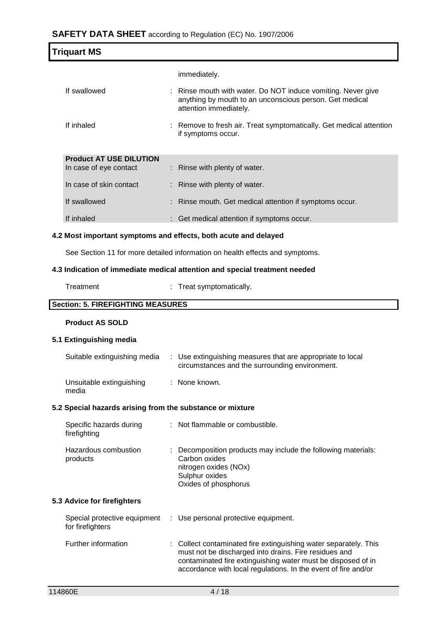|                                                          | $\mathbf{u}$ L I DATA OILEET according to regulation (EO) NO. 1301/2000                                                                           |
|----------------------------------------------------------|---------------------------------------------------------------------------------------------------------------------------------------------------|
| <b>Triquart MS</b>                                       |                                                                                                                                                   |
|                                                          | immediately.                                                                                                                                      |
| If swallowed                                             | : Rinse mouth with water. Do NOT induce vomiting. Never give<br>anything by mouth to an unconscious person. Get medical<br>attention immediately. |
| If inhaled                                               | : Remove to fresh air. Treat symptomatically. Get medical attention<br>if symptoms occur.                                                         |
| <b>Product AT USE DILUTION</b><br>In case of eye contact | : Rinse with plenty of water.                                                                                                                     |
| In case of skin contact                                  | : Rinse with plenty of water.                                                                                                                     |
| If swallowed                                             | : Rinse mouth. Get medical attention if symptoms occur.                                                                                           |
| If inhaled                                               | : Get medical attention if symptoms occur.                                                                                                        |
|                                                          | 4.2 Most important symptoms and effects, both acute and delayed                                                                                   |
|                                                          | See Section 11 for more detailed information on health effects and symptoms.                                                                      |
|                                                          | 4.3 Indication of immediate medical attention and special treatment needed                                                                        |
| Treatment                                                | Treat symptomatically.                                                                                                                            |
| <b>Section: 5. FIREFIGHTING MEASURES</b>                 |                                                                                                                                                   |
| <b>Product AS SOLD</b>                                   |                                                                                                                                                   |
| 5.1 Extinguishing media                                  |                                                                                                                                                   |
| Suitable extinguishing media                             | : Use extinguishing measures that are appropriate to local<br>circumstances and the surrounding environment.                                      |
| Unsuitable extinguishing<br>media                        | : None known.                                                                                                                                     |

# **5.2 Special hazards arising from the substance or mixture**

| Specific hazards during<br>firefighting | : Not flammable or combustible.                                                                                                                   |
|-----------------------------------------|---------------------------------------------------------------------------------------------------------------------------------------------------|
| Hazardous combustion<br>products        | : Decomposition products may include the following materials:<br>Carbon oxides<br>nitrogen oxides (NOx)<br>Sulphur oxides<br>Oxides of phosphorus |

# **5.3 Advice for firefighters**

| Special protective equipment<br>for firefighters | : Use personal protective equipment.                                                                                                                                                                                                                        |
|--------------------------------------------------|-------------------------------------------------------------------------------------------------------------------------------------------------------------------------------------------------------------------------------------------------------------|
| Further information                              | : Collect contaminated fire extinguishing water separately. This<br>must not be discharged into drains. Fire residues and<br>contaminated fire extinguishing water must be disposed of in<br>accordance with local regulations. In the event of fire and/or |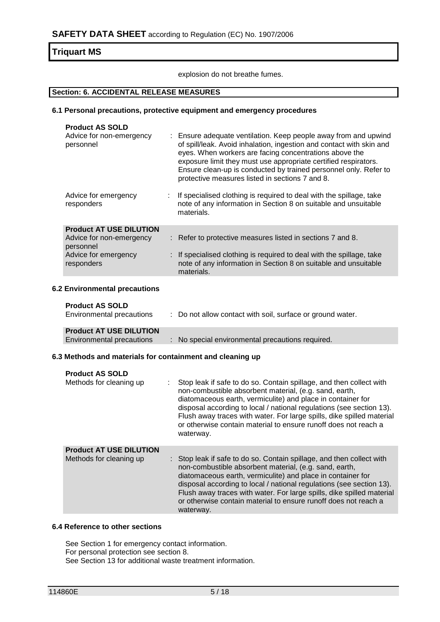explosion do not breathe fumes.

## **Section: 6. ACCIDENTAL RELEASE MEASURES**

## **6.1 Personal precautions, protective equipment and emergency procedures**

| <b>Product AS SOLD</b><br>Advice for non-emergency<br>personnel                                               | : Ensure adequate ventilation. Keep people away from and upwind<br>of spill/leak. Avoid inhalation, ingestion and contact with skin and<br>eyes. When workers are facing concentrations above the<br>exposure limit they must use appropriate certified respirators.<br>Ensure clean-up is conducted by trained personnel only. Refer to<br>protective measures listed in sections 7 and 8. |
|---------------------------------------------------------------------------------------------------------------|---------------------------------------------------------------------------------------------------------------------------------------------------------------------------------------------------------------------------------------------------------------------------------------------------------------------------------------------------------------------------------------------|
| Advice for emergency<br>responders                                                                            | If specialised clothing is required to deal with the spillage, take<br>note of any information in Section 8 on suitable and unsuitable<br>materials.                                                                                                                                                                                                                                        |
| <b>Product AT USE DILUTION</b><br>Advice for non-emergency<br>personnel<br>Advice for emergency<br>responders | : Refer to protective measures listed in sections 7 and 8.<br>: If specialised clothing is required to deal with the spillage, take<br>note of any information in Section 8 on suitable and unsuitable<br>materials.                                                                                                                                                                        |
| <b>6.2 Environmental precautions</b><br><b>Product AS SOLD</b><br>Environmental precautions                   | : Do not allow contact with soil, surface or ground water.                                                                                                                                                                                                                                                                                                                                  |

| <b>Product AT USE DILUTION</b> |                                                  |
|--------------------------------|--------------------------------------------------|
| Environmental precautions      | : No special environmental precautions required. |
|                                |                                                  |

## **6.3 Methods and materials for containment and cleaning up**

| <b>Product AS SOLD</b><br>Methods for cleaning up         | Stop leak if safe to do so. Contain spillage, and then collect with<br>non-combustible absorbent material, (e.g. sand, earth,<br>diatomaceous earth, vermiculite) and place in container for<br>disposal according to local / national regulations (see section 13).<br>Flush away traces with water. For large spills, dike spilled material<br>or otherwise contain material to ensure runoff does not reach a<br>waterway.   |
|-----------------------------------------------------------|---------------------------------------------------------------------------------------------------------------------------------------------------------------------------------------------------------------------------------------------------------------------------------------------------------------------------------------------------------------------------------------------------------------------------------|
| <b>Product AT USE DILUTION</b><br>Methods for cleaning up | : Stop leak if safe to do so. Contain spillage, and then collect with<br>non-combustible absorbent material, (e.g. sand, earth,<br>diatomaceous earth, vermiculite) and place in container for<br>disposal according to local / national regulations (see section 13).<br>Flush away traces with water. For large spills, dike spilled material<br>or otherwise contain material to ensure runoff does not reach a<br>waterway. |

#### **6.4 Reference to other sections**

See Section 1 for emergency contact information. For personal protection see section 8. See Section 13 for additional waste treatment information.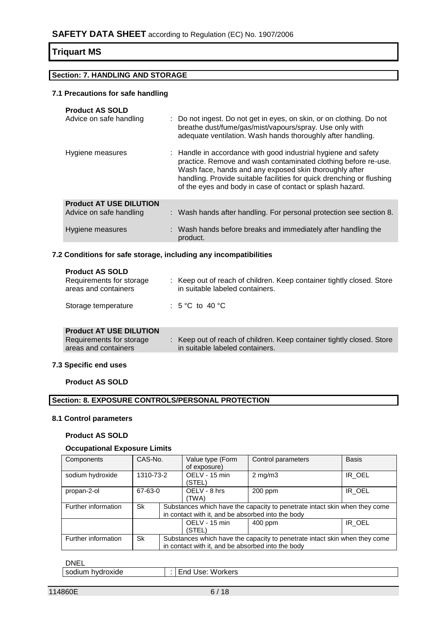# **Section: 7. HANDLING AND STORAGE**

## **7.1 Precautions for safe handling**

| <b>Product AS SOLD</b><br>Advice on safe handling         | : Do not ingest. Do not get in eyes, on skin, or on clothing. Do not<br>breathe dust/fume/gas/mist/vapours/spray. Use only with<br>adequate ventilation. Wash hands thoroughly after handling.                                                                                                                                   |
|-----------------------------------------------------------|----------------------------------------------------------------------------------------------------------------------------------------------------------------------------------------------------------------------------------------------------------------------------------------------------------------------------------|
| Hygiene measures                                          | : Handle in accordance with good industrial hygiene and safety<br>practice. Remove and wash contaminated clothing before re-use.<br>Wash face, hands and any exposed skin thoroughly after<br>handling. Provide suitable facilities for quick drenching or flushing<br>of the eyes and body in case of contact or splash hazard. |
| <b>Product AT USE DILUTION</b><br>Advice on safe handling | : Wash hands after handling. For personal protection see section 8.                                                                                                                                                                                                                                                              |
| Hygiene measures                                          | : Wash hands before breaks and immediately after handling the<br>product.                                                                                                                                                                                                                                                        |

## **7.2 Conditions for safe storage, including any incompatibilities**

## **Product AS SOLD**

| Requirements for storage<br>areas and containers | : Keep out of reach of children. Keep container tightly closed. Store<br>in suitable labeled containers. |
|--------------------------------------------------|----------------------------------------------------------------------------------------------------------|
| Storage temperature                              | : 5 °C to 40 °C                                                                                          |

# **Product AT USE DILUTION**

| Requirements for storage | Keep out of reach of children. Keep container tightly closed. Store |
|--------------------------|---------------------------------------------------------------------|
| areas and containers     | in suitable labeled containers.                                     |

## **7.3 Specific end uses**

**Product AS SOLD**

# **Section: 8. EXPOSURE CONTROLS/PERSONAL PROTECTION**

## **8.1 Control parameters**

#### **Product AS SOLD**

## **Occupational Exposure Limits**

| Components          | CAS-No.   |  | Value type (Form<br>of exposure)                  | Control parameters                                                         | <b>Basis</b> |
|---------------------|-----------|--|---------------------------------------------------|----------------------------------------------------------------------------|--------------|
| sodium hydroxide    | 1310-73-2 |  | OELV - 15 min<br>(STEL)                           | $2 \text{ mg/m}$                                                           | IR OEL       |
| propan-2-ol         | 67-63-0   |  | OELV - 8 hrs<br>(TWA)                             | $200$ ppm                                                                  | IR OEL       |
| Further information | Sk        |  | in contact with it, and be absorbed into the body | Substances which have the capacity to penetrate intact skin when they come |              |
|                     |           |  | OELV - 15 min<br>(STEL)                           | 400 ppm                                                                    | IR OEL       |
| Further information | Sk        |  | in contact with it, and be absorbed into the body | Substances which have the capacity to penetrate intact skin when they come |              |

# DNEL

| hvdroxide<br>sodium | w<br>′orkers<br>JSA<br>nr. |
|---------------------|----------------------------|
|                     |                            |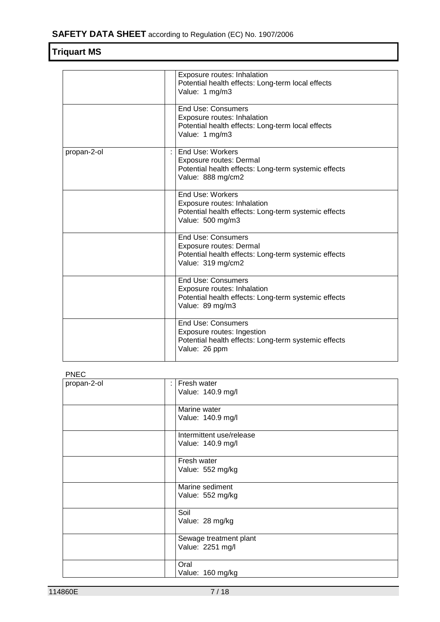|             | Exposure routes: Inhalation<br>Potential health effects: Long-term local effects<br>Value: 1 mg/m3                                       |  |
|-------------|------------------------------------------------------------------------------------------------------------------------------------------|--|
|             | <b>End Use: Consumers</b><br>Exposure routes: Inhalation<br>Potential health effects: Long-term local effects<br>Value: 1 mg/m3          |  |
| propan-2-ol | End Use: Workers<br><b>Exposure routes: Dermal</b><br>Potential health effects: Long-term systemic effects<br>Value: 888 mg/cm2          |  |
|             | End Use: Workers<br>Exposure routes: Inhalation<br>Potential health effects: Long-term systemic effects<br>Value: 500 mg/m3              |  |
|             | <b>End Use: Consumers</b><br><b>Exposure routes: Dermal</b><br>Potential health effects: Long-term systemic effects<br>Value: 319 mg/cm2 |  |
|             | <b>End Use: Consumers</b><br>Exposure routes: Inhalation<br>Potential health effects: Long-term systemic effects<br>Value: 89 mg/m3      |  |
|             | <b>End Use: Consumers</b><br>Exposure routes: Ingestion<br>Potential health effects: Long-term systemic effects<br>Value: 26 ppm         |  |

## PNEC

| propan-2-ol | Fresh water<br>÷<br>Value: 140.9 mg/l         |
|-------------|-----------------------------------------------|
|             | Marine water<br>Value: 140.9 mg/l             |
|             | Intermittent use/release<br>Value: 140.9 mg/l |
|             | Fresh water<br>Value: 552 mg/kg               |
|             | Marine sediment<br>Value: 552 mg/kg           |
|             | Soil<br>Value: 28 mg/kg                       |
|             | Sewage treatment plant<br>Value: 2251 mg/l    |
|             | Oral<br>Value: 160 mg/kg                      |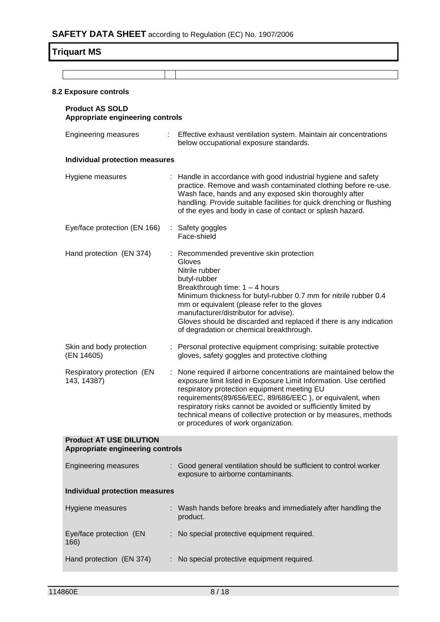# **Triquart MS**

| 8.2 Exposure controls                                              |    |                                                                                                                                                                                                                                                                                                                                                                                                                                    |
|--------------------------------------------------------------------|----|------------------------------------------------------------------------------------------------------------------------------------------------------------------------------------------------------------------------------------------------------------------------------------------------------------------------------------------------------------------------------------------------------------------------------------|
| <b>Product AS SOLD</b><br>Appropriate engineering controls         |    |                                                                                                                                                                                                                                                                                                                                                                                                                                    |
| <b>Engineering measures</b>                                        |    | Effective exhaust ventilation system. Maintain air concentrations<br>below occupational exposure standards.                                                                                                                                                                                                                                                                                                                        |
| <b>Individual protection measures</b>                              |    |                                                                                                                                                                                                                                                                                                                                                                                                                                    |
| Hygiene measures                                                   |    | : Handle in accordance with good industrial hygiene and safety<br>practice. Remove and wash contaminated clothing before re-use.<br>Wash face, hands and any exposed skin thoroughly after<br>handling. Provide suitable facilities for quick drenching or flushing<br>of the eyes and body in case of contact or splash hazard.                                                                                                   |
| Eye/face protection (EN 166)                                       | ÷. | Safety goggles<br>Face-shield                                                                                                                                                                                                                                                                                                                                                                                                      |
| Hand protection (EN 374)                                           |    | Recommended preventive skin protection<br>Gloves<br>Nitrile rubber<br>butyl-rubber<br>Breakthrough time: $1 - 4$ hours<br>Minimum thickness for butyl-rubber 0.7 mm for nitrile rubber 0.4<br>mm or equivalent (please refer to the gloves<br>manufacturer/distributor for advise).<br>Gloves should be discarded and replaced if there is any indication<br>of degradation or chemical breakthrough.                              |
| Skin and body protection<br>(EN 14605)                             |    | Personal protective equipment comprising: suitable protective<br>gloves, safety goggles and protective clothing                                                                                                                                                                                                                                                                                                                    |
| Respiratory protection (EN<br>143, 14387)                          |    | : None required if airborne concentrations are maintained below the<br>exposure limit listed in Exposure Limit Information. Use certified<br>respiratory protection equipment meeting EU<br>requirements(89/656/EEC, 89/686/EEC), or equivalent, when<br>respiratory risks cannot be avoided or sufficiently limited by<br>technical means of collective protection or by measures, methods<br>or procedures of work organization. |
| <b>Product AT USE DILUTION</b><br>Appropriate engineering controls |    |                                                                                                                                                                                                                                                                                                                                                                                                                                    |
| <b>Engineering measures</b>                                        |    | : Good general ventilation should be sufficient to control worker<br>exposure to airborne contaminants.                                                                                                                                                                                                                                                                                                                            |
| <b>Individual protection measures</b>                              |    |                                                                                                                                                                                                                                                                                                                                                                                                                                    |
| Hygiene measures                                                   |    | Wash hands before breaks and immediately after handling the<br>product.                                                                                                                                                                                                                                                                                                                                                            |
| Eye/face protection (EN<br>166)                                    |    | No special protective equipment required.                                                                                                                                                                                                                                                                                                                                                                                          |
| Hand protection (EN 374)                                           |    | No special protective equipment required.                                                                                                                                                                                                                                                                                                                                                                                          |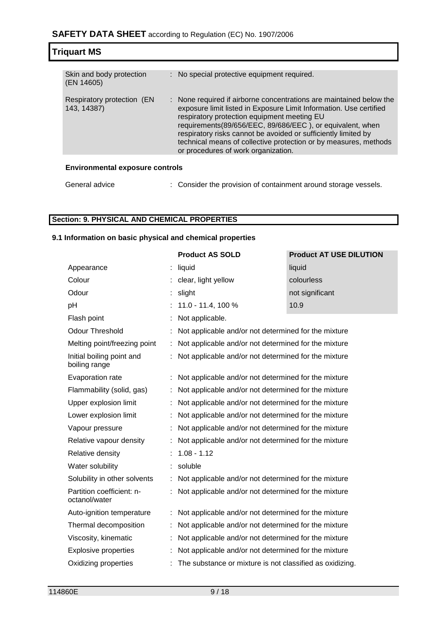| <b>Triquart MS</b>                        |  |                                                                                                                                                                                                                                                                                                                                                                                                                                    |  |
|-------------------------------------------|--|------------------------------------------------------------------------------------------------------------------------------------------------------------------------------------------------------------------------------------------------------------------------------------------------------------------------------------------------------------------------------------------------------------------------------------|--|
|                                           |  |                                                                                                                                                                                                                                                                                                                                                                                                                                    |  |
| Skin and body protection<br>(EN 14605)    |  | : No special protective equipment required.                                                                                                                                                                                                                                                                                                                                                                                        |  |
| Respiratory protection (EN<br>143, 14387) |  | : None required if airborne concentrations are maintained below the<br>exposure limit listed in Exposure Limit Information. Use certified<br>respiratory protection equipment meeting EU<br>requirements(89/656/EEC, 89/686/EEC), or equivalent, when<br>respiratory risks cannot be avoided or sufficiently limited by<br>technical means of collective protection or by measures, methods<br>or procedures of work organization. |  |
| <b>Environmental exposure controls</b>    |  |                                                                                                                                                                                                                                                                                                                                                                                                                                    |  |
| General advice                            |  | : Consider the provision of containment around storage vessels.                                                                                                                                                                                                                                                                                                                                                                    |  |

# **Section: 9. PHYSICAL AND CHEMICAL PROPERTIES**

## **9.1 Information on basic physical and chemical properties**

|                                            |    | <b>Product AS SOLD</b>                                   | <b>Product AT USE DILUTION</b> |
|--------------------------------------------|----|----------------------------------------------------------|--------------------------------|
| Appearance                                 |    | liquid                                                   | liquid                         |
| Colour                                     |    | clear, light yellow                                      | colourless                     |
| Odour                                      |    | slight                                                   | not significant                |
| pH                                         |    | 11.0 - 11.4, 100 %                                       | 10.9                           |
| Flash point                                |    | Not applicable.                                          |                                |
| <b>Odour Threshold</b>                     |    | Not applicable and/or not determined for the mixture     |                                |
| Melting point/freezing point               | ÷  | Not applicable and/or not determined for the mixture     |                                |
| Initial boiling point and<br>boiling range |    | Not applicable and/or not determined for the mixture     |                                |
| Evaporation rate                           |    | Not applicable and/or not determined for the mixture     |                                |
| Flammability (solid, gas)                  |    | Not applicable and/or not determined for the mixture     |                                |
| Upper explosion limit                      | ÷. | Not applicable and/or not determined for the mixture     |                                |
| Lower explosion limit                      |    | Not applicable and/or not determined for the mixture     |                                |
| Vapour pressure                            | t. | Not applicable and/or not determined for the mixture     |                                |
| Relative vapour density                    |    | Not applicable and/or not determined for the mixture     |                                |
| Relative density                           |    | $1.08 - 1.12$                                            |                                |
| Water solubility                           |    | soluble                                                  |                                |
| Solubility in other solvents               | ÷. | Not applicable and/or not determined for the mixture     |                                |
| Partition coefficient: n-<br>octanol/water |    | Not applicable and/or not determined for the mixture     |                                |
| Auto-ignition temperature                  |    | Not applicable and/or not determined for the mixture     |                                |
| Thermal decomposition                      |    | Not applicable and/or not determined for the mixture     |                                |
| Viscosity, kinematic                       |    | Not applicable and/or not determined for the mixture     |                                |
| <b>Explosive properties</b>                |    | Not applicable and/or not determined for the mixture     |                                |
| Oxidizing properties                       |    | The substance or mixture is not classified as oxidizing. |                                |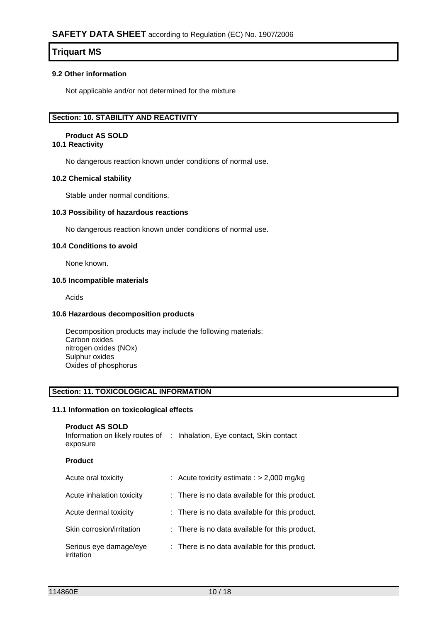## **9.2 Other information**

Not applicable and/or not determined for the mixture

## **Section: 10. STABILITY AND REACTIVITY**

#### **Product AS SOLD 10.1 Reactivity**

No dangerous reaction known under conditions of normal use.

#### **10.2 Chemical stability**

Stable under normal conditions.

#### **10.3 Possibility of hazardous reactions**

No dangerous reaction known under conditions of normal use.

### **10.4 Conditions to avoid**

None known.

### **10.5 Incompatible materials**

Acids

#### **10.6 Hazardous decomposition products**

Decomposition products may include the following materials: Carbon oxides nitrogen oxides (NOx) Sulphur oxides Oxides of phosphorus

#### **Section: 11. TOXICOLOGICAL INFORMATION**

#### **11.1 Information on toxicological effects**

| <b>Product AS SOLD</b> |                                                                         |
|------------------------|-------------------------------------------------------------------------|
|                        | Information on likely routes of : Inhalation, Eye contact, Skin contact |
| exposure               |                                                                         |

#### **Product**

| Acute oral toxicity                  | : Acute toxicity estimate : $> 2,000$ mg/kg    |
|--------------------------------------|------------------------------------------------|
| Acute inhalation toxicity            | : There is no data available for this product. |
| Acute dermal toxicity                | : There is no data available for this product. |
| Skin corrosion/irritation            | : There is no data available for this product. |
| Serious eye damage/eye<br>irritation | : There is no data available for this product. |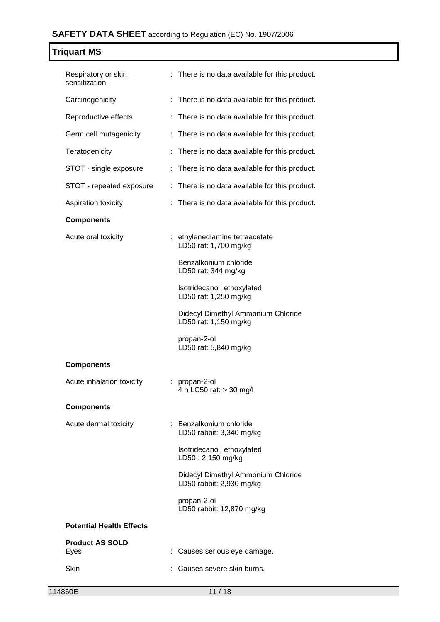| <b>Triquart MS</b>                   |                                                                |
|--------------------------------------|----------------------------------------------------------------|
| Respiratory or skin<br>sensitization | : There is no data available for this product.                 |
| Carcinogenicity                      | : There is no data available for this product.                 |
| Reproductive effects                 | : There is no data available for this product.                 |
| Germ cell mutagenicity               | : There is no data available for this product.                 |
| Teratogenicity                       | There is no data available for this product.                   |
| STOT - single exposure               | There is no data available for this product.                   |
| STOT - repeated exposure             | : There is no data available for this product.                 |
| Aspiration toxicity                  | There is no data available for this product.                   |
| <b>Components</b>                    |                                                                |
| Acute oral toxicity                  | : ethylenediamine tetraacetate<br>LD50 rat: 1,700 mg/kg        |
|                                      | Benzalkonium chloride<br>LD50 rat: 344 mg/kg                   |
|                                      | Isotridecanol, ethoxylated<br>LD50 rat: 1,250 mg/kg            |
|                                      | Didecyl Dimethyl Ammonium Chloride<br>LD50 rat: 1,150 mg/kg    |
|                                      | propan-2-ol<br>LD50 rat: 5,840 mg/kg                           |
| <b>Components</b>                    |                                                                |
| Acute inhalation toxicity            | propan-2-ol<br>4 h LC50 rat: > 30 mg/l                         |
| <b>Components</b>                    |                                                                |
| Acute dermal toxicity                | : Benzalkonium chloride<br>LD50 rabbit: 3,340 mg/kg            |
|                                      | Isotridecanol, ethoxylated<br>LD50: 2,150 mg/kg                |
|                                      | Didecyl Dimethyl Ammonium Chloride<br>LD50 rabbit: 2,930 mg/kg |
|                                      | propan-2-ol<br>LD50 rabbit: 12,870 mg/kg                       |
| <b>Potential Health Effects</b>      |                                                                |
| <b>Product AS SOLD</b><br>Eyes       | Causes serious eye damage.                                     |
| <b>Skin</b>                          | Causes severe skin burns.                                      |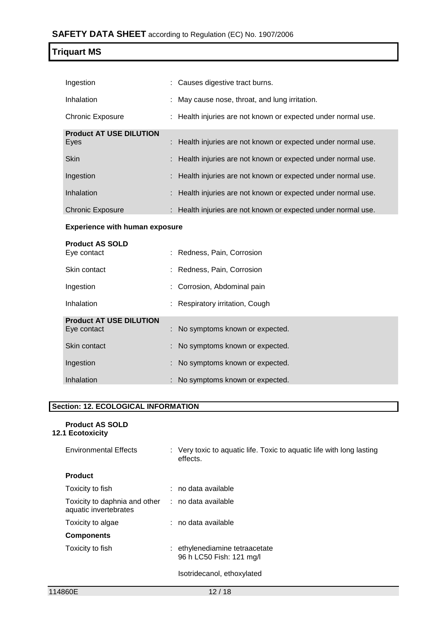| Ingestion                              |  | : Causes digestive tract burns.                               |  |  |  |
|----------------------------------------|--|---------------------------------------------------------------|--|--|--|
| Inhalation                             |  | : May cause nose, throat, and lung irritation.                |  |  |  |
| <b>Chronic Exposure</b>                |  | : Health injuries are not known or expected under normal use. |  |  |  |
| <b>Product AT USE DILUTION</b><br>Eyes |  | : Health injuries are not known or expected under normal use. |  |  |  |
|                                        |  |                                                               |  |  |  |
| <b>Skin</b>                            |  | : Health injuries are not known or expected under normal use. |  |  |  |
| Ingestion                              |  | : Health injuries are not known or expected under normal use. |  |  |  |
| Inhalation                             |  | : Health injuries are not known or expected under normal use. |  |  |  |
| <b>Chronic Exposure</b>                |  | : Health injuries are not known or expected under normal use. |  |  |  |
| <b>Experience with human exposure</b>  |  |                                                               |  |  |  |

| <b>Product AS SOLD</b><br>Eye contact         | : Redness, Pain, Corrosion       |
|-----------------------------------------------|----------------------------------|
| Skin contact                                  | : Redness, Pain, Corrosion       |
| Ingestion                                     | : Corrosion, Abdominal pain      |
| Inhalation                                    | : Respiratory irritation, Cough  |
| <b>Product AT USE DILUTION</b><br>Eye contact | : No symptoms known or expected. |
| Skin contact                                  | : No symptoms known or expected. |
| Ingestion                                     | : No symptoms known or expected. |
| Inhalation                                    | : No symptoms known or expected. |

# **Section: 12. ECOLOGICAL INFORMATION**

| <b>Product AS SOLD</b><br><b>12.1 Ecotoxicity</b>      |                                                                                   |
|--------------------------------------------------------|-----------------------------------------------------------------------------------|
| <b>Environmental Effects</b>                           | : Very toxic to aquatic life. Toxic to aquatic life with long lasting<br>effects. |
| <b>Product</b>                                         |                                                                                   |
| Toxicity to fish                                       | $:$ no data available                                                             |
| Toxicity to daphnia and other<br>aquatic invertebrates | ∴ no data available                                                               |
| Toxicity to algae                                      | : no data available                                                               |
| <b>Components</b>                                      |                                                                                   |
| Toxicity to fish                                       | : ethylenediamine tetraacetate<br>96 h LC50 Fish: 121 mg/l                        |
|                                                        | Isotridecanol, ethoxylated                                                        |
|                                                        |                                                                                   |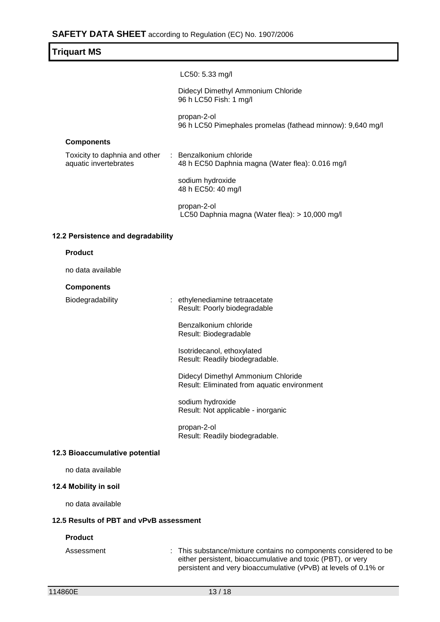| Triquart MS |                                                                           |
|-------------|---------------------------------------------------------------------------|
|             | LC50: 5.33 mg/l                                                           |
|             | Didecyl Dimethyl Ammonium Chloride<br>96 h LC50 Fish: 1 mg/l              |
|             | propan-2-ol<br>96 h LC50 Pimephales promelas (fathead minnow): 9,640 mg/l |
|             |                                                                           |

## **Components**

| Toxicity to daphnia and other<br>aquatic invertebrates | Benzalkonium chloride<br>48 h EC50 Daphnia magna (Water flea): 0.016 mg/l |  |
|--------------------------------------------------------|---------------------------------------------------------------------------|--|
|                                                        | sodium hydroxide<br>48 h EC50: 40 mg/l                                    |  |

propan-2-ol LC50 Daphnia magna (Water flea): > 10,000 mg/l

#### **12.2 Persistence and degradability**

#### **Product**

no data available

## **Components**

Biodegradability : ethylenediamine tetraacetate Result: Poorly biodegradable

> Benzalkonium chloride Result: Biodegradable

Isotridecanol, ethoxylated Result: Readily biodegradable.

Didecyl Dimethyl Ammonium Chloride Result: Eliminated from aquatic environment

sodium hydroxide Result: Not applicable - inorganic

propan-2-ol Result: Readily biodegradable.

#### **12.3 Bioaccumulative potential**

no data available

#### **12.4 Mobility in soil**

no data available

#### **12.5 Results of PBT and vPvB assessment**

#### **Product**

Assessment : This substance/mixture contains no components considered to be either persistent, bioaccumulative and toxic (PBT), or very persistent and very bioaccumulative (vPvB) at levels of 0.1% or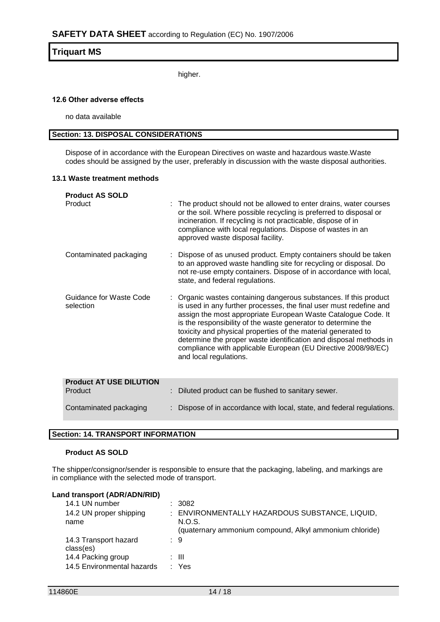higher.

#### **12.6 Other adverse effects**

no data available

## **Section: 13. DISPOSAL CONSIDERATIONS**

Dispose of in accordance with the European Directives on waste and hazardous waste.Waste codes should be assigned by the user, preferably in discussion with the waste disposal authorities.

#### **13.1 Waste treatment methods**

| <b>Product AS SOLD</b><br>Product         | : The product should not be allowed to enter drains, water courses<br>or the soil. Where possible recycling is preferred to disposal or<br>incineration. If recycling is not practicable, dispose of in<br>compliance with local regulations. Dispose of wastes in an<br>approved waste disposal facility.                                                                                                                                                                                                 |
|-------------------------------------------|------------------------------------------------------------------------------------------------------------------------------------------------------------------------------------------------------------------------------------------------------------------------------------------------------------------------------------------------------------------------------------------------------------------------------------------------------------------------------------------------------------|
| Contaminated packaging                    | : Dispose of as unused product. Empty containers should be taken<br>to an approved waste handling site for recycling or disposal. Do<br>not re-use empty containers. Dispose of in accordance with local,<br>state, and federal regulations.                                                                                                                                                                                                                                                               |
| Guidance for Waste Code<br>selection      | : Organic wastes containing dangerous substances. If this product<br>is used in any further processes, the final user must redefine and<br>assign the most appropriate European Waste Catalogue Code. It<br>is the responsibility of the waste generator to determine the<br>toxicity and physical properties of the material generated to<br>determine the proper waste identification and disposal methods in<br>compliance with applicable European (EU Directive 2008/98/EC)<br>and local regulations. |
| <b>Product AT USE DILUTION</b><br>Product | Diluted product can be flushed to sanitary sewer.                                                                                                                                                                                                                                                                                                                                                                                                                                                          |
|                                           |                                                                                                                                                                                                                                                                                                                                                                                                                                                                                                            |
| Contaminated packaging                    | Dispose of in accordance with local, state, and federal regulations.                                                                                                                                                                                                                                                                                                                                                                                                                                       |

# **Section: 14. TRANSPORT INFORMATION**

#### **Product AS SOLD**

The shipper/consignor/sender is responsible to ensure that the packaging, labeling, and markings are in compliance with the selected mode of transport.

| Land transport (ADR/ADN/RID)<br>14.1 UN number<br>14.2 UN proper shipping<br>name | : 3082<br>: ENVIRONMENTALLY HAZARDOUS SUBSTANCE, LIQUID,<br>N.O.S.<br>(quaternary ammonium compound, Alkyl ammonium chloride) |
|-----------------------------------------------------------------------------------|-------------------------------------------------------------------------------------------------------------------------------|
| 14.3 Transport hazard<br>class(es)                                                | : 9                                                                                                                           |
| 14.4 Packing group<br>14.5 Environmental hazards                                  | : III<br>: Yes                                                                                                                |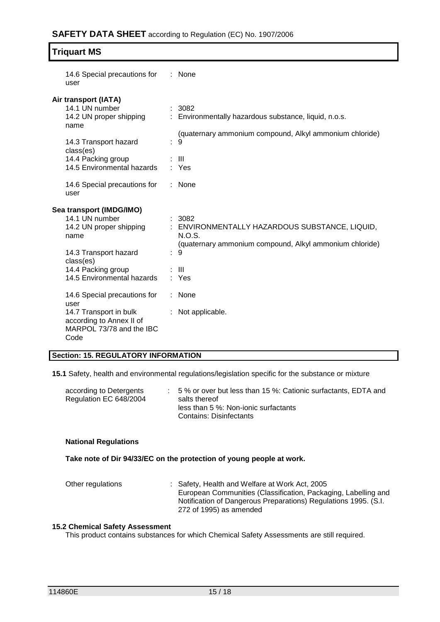| 14.6 Special precautions for<br>user                                                                                                                                    | $:$ None                                                                                                                                                 |
|-------------------------------------------------------------------------------------------------------------------------------------------------------------------------|----------------------------------------------------------------------------------------------------------------------------------------------------------|
| Air transport (IATA)<br>14.1 UN number<br>14.2 UN proper shipping<br>name<br>14.3 Transport hazard<br>class(es)<br>14.4 Packing group<br>14.5 Environmental hazards     | : 3082<br>: Environmentally hazardous substance, liquid, n.o.s.<br>(quaternary ammonium compound, Alkyl ammonium chloride)<br>÷<br>9<br>: III<br>: Yes   |
| 14.6 Special precautions for<br>user                                                                                                                                    | : None                                                                                                                                                   |
| Sea transport (IMDG/IMO)<br>14.1 UN number<br>14.2 UN proper shipping<br>name<br>14.3 Transport hazard<br>class(es)<br>14.4 Packing group<br>14.5 Environmental hazards | : 3082<br>: ENVIRONMENTALLY HAZARDOUS SUBSTANCE, LIQUID,<br>N.O.S.<br>(quaternary ammonium compound, Alkyl ammonium chloride)<br>9<br>$\pm$ 111<br>: Yes |
| 14.6 Special precautions for<br>user<br>14.7 Transport in bulk<br>according to Annex II of<br>MARPOL 73/78 and the IBC<br>Code                                          | None<br>: Not applicable.                                                                                                                                |

#### **Section: 15. REGULATORY INFORMATION**

**15.1** Safety, health and environmental regulations/legislation specific for the substance or mixture

| according to Detergents<br>Regulation EC 648/2004 | $\therefore$ 5% or over but less than 15%: Cationic surfactants, EDTA and<br>salts thereof |
|---------------------------------------------------|--------------------------------------------------------------------------------------------|
|                                                   | less than 5 %: Non-ionic surfactants<br>Contains: Disinfectants                            |

#### **National Regulations**

**Take note of Dir 94/33/EC on the protection of young people at work.**

Other regulations : Safety, Health and Welfare at Work Act, 2005 European Communities (Classification, Packaging, Labelling and Notification of Dangerous Preparations) Regulations 1995. (S.I. 272 of 1995) as amended

#### **15.2 Chemical Safety Assessment**

This product contains substances for which Chemical Safety Assessments are still required.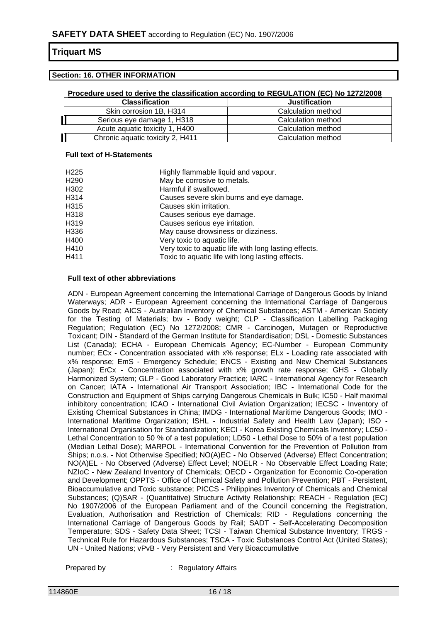## **Section: 16. OTHER INFORMATION**

#### **Procedure used to derive the classification according to REGULATION (EC) No 1272/2008**

| <b>Classification</b>            | <b>Justification</b> |
|----------------------------------|----------------------|
| Skin corrosion 1B, H314          | Calculation method   |
| Serious eye damage 1, H318       | Calculation method   |
| Acute aguatic toxicity 1, H400   | Calculation method   |
| Chronic aquatic toxicity 2, H411 | Calculation method   |

#### **Full text of H-Statements**

| H225 | Highly flammable liquid and vapour.                   |
|------|-------------------------------------------------------|
| H290 | May be corrosive to metals.                           |
| H302 | Harmful if swallowed.                                 |
| H314 | Causes severe skin burns and eye damage.              |
| H315 | Causes skin irritation.                               |
| H318 | Causes serious eye damage.                            |
| H319 | Causes serious eye irritation.                        |
| H336 | May cause drowsiness or dizziness.                    |
| H400 | Very toxic to aquatic life.                           |
| H410 | Very toxic to aquatic life with long lasting effects. |
| H411 | Toxic to aquatic life with long lasting effects.      |

#### **Full text of other abbreviations**

ADN - European Agreement concerning the International Carriage of Dangerous Goods by Inland Waterways; ADR - European Agreement concerning the International Carriage of Dangerous Goods by Road; AICS - Australian Inventory of Chemical Substances; ASTM - American Society for the Testing of Materials; bw - Body weight; CLP - Classification Labelling Packaging Regulation; Regulation (EC) No 1272/2008; CMR - Carcinogen, Mutagen or Reproductive Toxicant; DIN - Standard of the German Institute for Standardisation; DSL - Domestic Substances List (Canada); ECHA - European Chemicals Agency; EC-Number - European Community number; ECx - Concentration associated with x% response; ELx - Loading rate associated with x% response; EmS - Emergency Schedule; ENCS - Existing and New Chemical Substances (Japan); ErCx - Concentration associated with x% growth rate response; GHS - Globally Harmonized System; GLP - Good Laboratory Practice; IARC - International Agency for Research on Cancer; IATA - International Air Transport Association; IBC - International Code for the Construction and Equipment of Ships carrying Dangerous Chemicals in Bulk; IC50 - Half maximal inhibitory concentration; ICAO - International Civil Aviation Organization; IECSC - Inventory of Existing Chemical Substances in China; IMDG - International Maritime Dangerous Goods; IMO - International Maritime Organization; ISHL - Industrial Safety and Health Law (Japan); ISO - International Organisation for Standardization; KECI - Korea Existing Chemicals Inventory; LC50 - Lethal Concentration to 50 % of a test population; LD50 - Lethal Dose to 50% of a test population (Median Lethal Dose); MARPOL - International Convention for the Prevention of Pollution from Ships; n.o.s. - Not Otherwise Specified; NO(A)EC - No Observed (Adverse) Effect Concentration; NO(A)EL - No Observed (Adverse) Effect Level; NOELR - No Observable Effect Loading Rate; NZIoC - New Zealand Inventory of Chemicals; OECD - Organization for Economic Co-operation and Development; OPPTS - Office of Chemical Safety and Pollution Prevention; PBT - Persistent, Bioaccumulative and Toxic substance; PICCS - Philippines Inventory of Chemicals and Chemical Substances; (Q)SAR - (Quantitative) Structure Activity Relationship; REACH - Regulation (EC) No 1907/2006 of the European Parliament and of the Council concerning the Registration, Evaluation, Authorisation and Restriction of Chemicals; RID - Regulations concerning the International Carriage of Dangerous Goods by Rail; SADT - Self-Accelerating Decomposition Temperature; SDS - Safety Data Sheet; TCSI - Taiwan Chemical Substance Inventory; TRGS - Technical Rule for Hazardous Substances; TSCA - Toxic Substances Control Act (United States); UN - United Nations; vPvB - Very Persistent and Very Bioaccumulative

Prepared by : Regulatory Affairs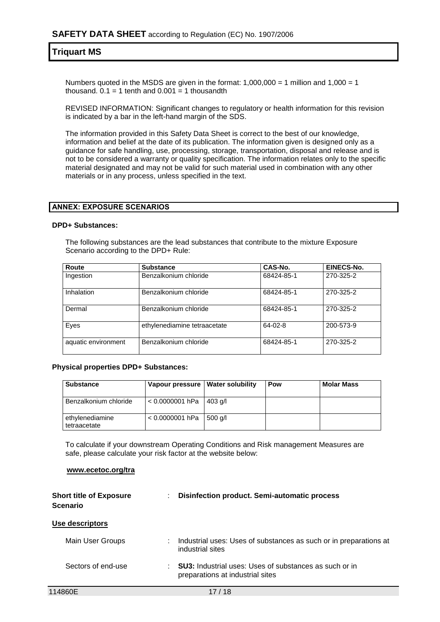Numbers quoted in the MSDS are given in the format:  $1,000,000 = 1$  million and  $1,000 = 1$ thousand.  $0.1 = 1$  tenth and  $0.001 = 1$  thousandth

REVISED INFORMATION: Significant changes to regulatory or health information for this revision is indicated by a bar in the left-hand margin of the SDS.

The information provided in this Safety Data Sheet is correct to the best of our knowledge, information and belief at the date of its publication. The information given is designed only as a guidance for safe handling, use, processing, storage, transportation, disposal and release and is not to be considered a warranty or quality specification. The information relates only to the specific material designated and may not be valid for such material used in combination with any other materials or in any process, unless specified in the text.

#### **ANNEX: EXPOSURE SCENARIOS**

#### **DPD+ Substances:**

The following substances are the lead substances that contribute to the mixture Exposure Scenario according to the DPD+ Rule:

| Route               | <b>Substance</b>             | CAS-No.    | EINECS-No. |
|---------------------|------------------------------|------------|------------|
| Ingestion           | Benzalkonium chloride        | 68424-85-1 | 270-325-2  |
| Inhalation          | Benzalkonium chloride        | 68424-85-1 | 270-325-2  |
| Dermal              | Benzalkonium chloride        | 68424-85-1 | 270-325-2  |
| Eyes                | ethylenediamine tetraacetate | $64-02-8$  | 200-573-9  |
| aquatic environment | Benzalkonium chloride        | 68424-85-1 | 270-325-2  |

#### **Physical properties DPD+ Substances:**

| <b>Substance</b>                | Vapour pressure   Water solubility | Pow | <b>Molar Mass</b> |
|---------------------------------|------------------------------------|-----|-------------------|
| Benzalkonium chloride           | $< 0.0000001$ hPa   403 g/l        |     |                   |
| ethylenediamine<br>tetraacetate | $< 0.0000001$ hPa   500 g/l        |     |                   |

To calculate if your downstream Operating Conditions and Risk management Measures are safe, please calculate your risk factor at the website below:

#### **www.ecetoc.org/tra**

| <b>Short title of Exposure</b><br><b>Scenario</b> | <b>Disinfection product. Semi-automatic process</b><br>÷                                               |
|---------------------------------------------------|--------------------------------------------------------------------------------------------------------|
| Use descriptors                                   |                                                                                                        |
| Main User Groups                                  | Industrial uses: Uses of substances as such or in preparations at<br>industrial sites                  |
| Sectors of end-use                                | <b>SU3:</b> Industrial uses: Uses of substances as such or in<br>÷<br>preparations at industrial sites |
| 114860E                                           | 17 / 18                                                                                                |